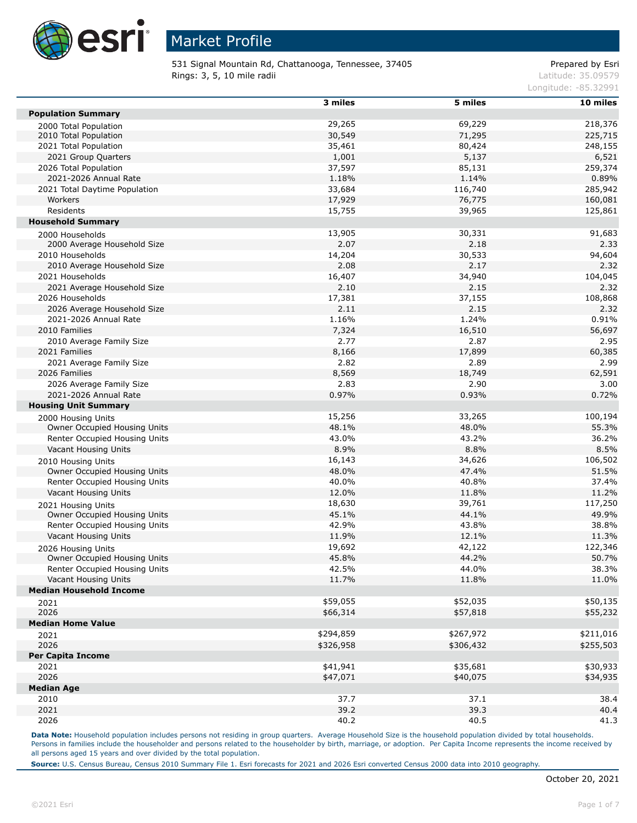

531 Signal Mountain Rd, Chattanooga, Tennessee, 37405 Prepared by Esri **Rings: 3, 5, 10 mile radii**  $\blacksquare$  **Rings: 3, 5, 10 mile radii**  $\blacksquare$ 

Longitude: -85.32991

|                                                    | 3 miles        | 5 miles   | 10 miles  |
|----------------------------------------------------|----------------|-----------|-----------|
| <b>Population Summary</b>                          |                |           |           |
| 2000 Total Population                              | 29,265         | 69,229    | 218,376   |
| 2010 Total Population                              | 30,549         | 71,295    | 225,715   |
| 2021 Total Population                              | 35,461         | 80,424    | 248,155   |
| 2021 Group Quarters                                | 1,001          | 5,137     | 6,521     |
| 2026 Total Population                              | 37,597         | 85,131    | 259,374   |
| 2021-2026 Annual Rate                              | 1.18%          | 1.14%     | 0.89%     |
| 2021 Total Daytime Population                      | 33,684         | 116,740   | 285,942   |
| Workers                                            | 17,929         | 76,775    | 160,081   |
| Residents                                          | 15,755         | 39,965    | 125,861   |
| <b>Household Summary</b>                           |                |           |           |
| 2000 Households                                    | 13,905         | 30,331    | 91,683    |
| 2000 Average Household Size                        | 2.07           | 2.18      | 2.33      |
| 2010 Households                                    | 14,204         | 30,533    | 94,604    |
| 2010 Average Household Size                        | 2.08           | 2.17      | 2.32      |
| 2021 Households                                    | 16,407         | 34,940    | 104,045   |
| 2021 Average Household Size                        | 2.10           | 2.15      | 2.32      |
| 2026 Households                                    | 17,381         | 37,155    | 108,868   |
| 2026 Average Household Size                        | 2.11           | 2.15      | 2.32      |
| 2021-2026 Annual Rate                              | 1.16%          | 1.24%     | 0.91%     |
| 2010 Families                                      | 7,324          | 16,510    | 56,697    |
| 2010 Average Family Size                           | 2.77           | 2.87      | 2.95      |
| 2021 Families                                      | 8,166          | 17,899    | 60,385    |
| 2021 Average Family Size                           | 2.82           | 2.89      | 2.99      |
| 2026 Families                                      | 8,569          | 18,749    | 62,591    |
| 2026 Average Family Size                           | 2.83           | 2.90      | 3.00      |
| 2021-2026 Annual Rate                              | 0.97%          | 0.93%     | 0.72%     |
| <b>Housing Unit Summary</b>                        |                |           |           |
|                                                    | 15,256         | 33,265    | 100,194   |
| 2000 Housing Units<br>Owner Occupied Housing Units | 48.1%          | 48.0%     | 55.3%     |
| Renter Occupied Housing Units                      | 43.0%          | 43.2%     | 36.2%     |
| Vacant Housing Units                               | 8.9%           | 8.8%      | 8.5%      |
|                                                    | 16,143         | 34,626    | 106,502   |
| 2010 Housing Units<br>Owner Occupied Housing Units | 48.0%          | 47.4%     | 51.5%     |
| Renter Occupied Housing Units                      | 40.0%          | 40.8%     | 37.4%     |
| Vacant Housing Units                               | 12.0%          | 11.8%     | 11.2%     |
|                                                    | 18,630         | 39,761    | 117,250   |
| 2021 Housing Units<br>Owner Occupied Housing Units | 45.1%          | 44.1%     | 49.9%     |
| Renter Occupied Housing Units                      | 42.9%          | 43.8%     | 38.8%     |
| Vacant Housing Units                               | 11.9%          | 12.1%     | 11.3%     |
|                                                    |                |           |           |
| 2026 Housing Units                                 | 19,692         | 42,122    | 122,346   |
| Owner Occupied Housing Units                       | 45.8%<br>42.5% | 44.2%     | 50.7%     |
| Renter Occupied Housing Units                      |                | 44.0%     | 38.3%     |
| Vacant Housing Units                               | 11.7%          | 11.8%     | 11.0%     |
| <b>Median Household Income</b>                     |                |           |           |
| 2021                                               | \$59,055       | \$52,035  | \$50,135  |
| 2026                                               | \$66,314       | \$57,818  | \$55,232  |
| <b>Median Home Value</b>                           |                |           |           |
| 2021                                               | \$294,859      | \$267,972 | \$211,016 |
| 2026                                               | \$326,958      | \$306,432 | \$255,503 |
| <b>Per Capita Income</b>                           |                |           |           |
| 2021                                               | \$41,941       | \$35,681  | \$30,933  |
| 2026                                               | \$47,071       | \$40,075  | \$34,935  |
| <b>Median Age</b>                                  |                |           |           |
| 2010                                               | 37.7           | 37.1      | 38.4      |
| 2021                                               | 39.2           | 39.3      | 40.4      |
| 2026                                               | 40.2           | 40.5      | 41.3      |

Data Note: Household population includes persons not residing in group quarters. Average Household Size is the household population divided by total households. Persons in families include the householder and persons related to the householder by birth, marriage, or adoption. Per Capita Income represents the income received by all persons aged 15 years and over divided by the total population.

**Source:** U.S. Census Bureau, Census 2010 Summary File 1. Esri forecasts for 2021 and 2026 Esri converted Census 2000 data into 2010 geography.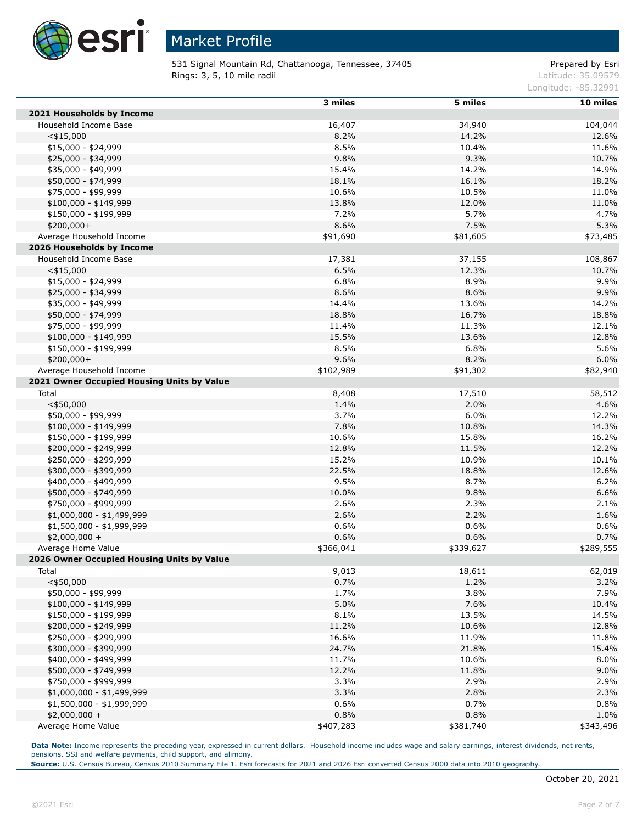

531 Signal Mountain Rd, Chattanooga, Tennessee, 37405 Prepared by Esri **Rings: 3, 5, 10 mile radii**  $\blacksquare$  **Rings: 3, 5, 10 mile radii**  $\blacksquare$ 

Longitude: -85.32991

|                                            | 3 miles   | 5 miles   | 10 miles  |
|--------------------------------------------|-----------|-----------|-----------|
| 2021 Households by Income                  |           |           |           |
| Household Income Base                      | 16,407    | 34,940    | 104,044   |
| $<$ \$15,000                               | 8.2%      | 14.2%     | 12.6%     |
| \$15,000 - \$24,999                        | 8.5%      | 10.4%     | 11.6%     |
| \$25,000 - \$34,999                        | 9.8%      | 9.3%      | 10.7%     |
| \$35,000 - \$49,999                        | 15.4%     | 14.2%     | 14.9%     |
| \$50,000 - \$74,999                        | 18.1%     | 16.1%     | 18.2%     |
| \$75,000 - \$99,999                        | 10.6%     | 10.5%     | 11.0%     |
| $$100,000 - $149,999$                      | 13.8%     | 12.0%     | 11.0%     |
| \$150,000 - \$199,999                      | 7.2%      | 5.7%      | 4.7%      |
| $$200,000+$                                | 8.6%      | 7.5%      | 5.3%      |
| Average Household Income                   | \$91,690  | \$81,605  | \$73,485  |
| 2026 Households by Income                  |           |           |           |
| Household Income Base                      | 17,381    | 37,155    | 108,867   |
| $<$ \$15,000                               | 6.5%      | 12.3%     | 10.7%     |
| $$15,000 - $24,999$                        | 6.8%      | 8.9%      | 9.9%      |
| \$25,000 - \$34,999                        | 8.6%      | 8.6%      | 9.9%      |
| \$35,000 - \$49,999                        | 14.4%     | 13.6%     | 14.2%     |
| \$50,000 - \$74,999                        | 18.8%     | 16.7%     | 18.8%     |
| \$75,000 - \$99,999                        | 11.4%     | 11.3%     | 12.1%     |
| $$100,000 - $149,999$                      | 15.5%     | 13.6%     | 12.8%     |
| \$150,000 - \$199,999                      | 8.5%      | 6.8%      | 5.6%      |
| $$200,000+$                                | 9.6%      | 8.2%      | 6.0%      |
| Average Household Income                   | \$102,989 | \$91,302  | \$82,940  |
| 2021 Owner Occupied Housing Units by Value |           |           |           |
| Total                                      | 8,408     | 17,510    | 58,512    |
| $<$ \$50,000                               | 1.4%      | 2.0%      | 4.6%      |
| \$50,000 - \$99,999                        | 3.7%      | 6.0%      | 12.2%     |
| $$100,000 - $149,999$                      | 7.8%      | 10.8%     | 14.3%     |
| \$150,000 - \$199,999                      | 10.6%     | 15.8%     | 16.2%     |
| \$200,000 - \$249,999                      | 12.8%     | 11.5%     | 12.2%     |
| \$250,000 - \$299,999                      | 15.2%     | 10.9%     | 10.1%     |
| \$300,000 - \$399,999                      | 22.5%     | 18.8%     | 12.6%     |
| \$400,000 - \$499,999                      | 9.5%      | 8.7%      | 6.2%      |
| \$500,000 - \$749,999                      | 10.0%     | 9.8%      | 6.6%      |
| \$750,000 - \$999,999                      | 2.6%      | 2.3%      | 2.1%      |
| \$1,000,000 - \$1,499,999                  | 2.6%      | 2.2%      | 1.6%      |
| \$1,500,000 - \$1,999,999                  | 0.6%      | 0.6%      | 0.6%      |
| $$2,000,000 +$                             | 0.6%      | 0.6%      | 0.7%      |
| Average Home Value                         | \$366,041 | \$339,627 | \$289,555 |
| 2026 Owner Occupied Housing Units by Value |           |           |           |
| Total                                      | 9,013     | 18,611    | 62,019    |
| $<$ \$50,000                               | 0.7%      | 1.2%      | 3.2%      |
| \$50,000 - \$99,999                        | 1.7%      | 3.8%      | 7.9%      |
| $$100,000 - $149,999$                      | 5.0%      | 7.6%      | 10.4%     |
| \$150,000 - \$199,999                      | 8.1%      | 13.5%     | 14.5%     |
| \$200,000 - \$249,999                      | 11.2%     | 10.6%     | 12.8%     |
| \$250,000 - \$299,999                      | 16.6%     | 11.9%     | 11.8%     |
| \$300,000 - \$399,999                      | 24.7%     | 21.8%     | 15.4%     |
| \$400,000 - \$499,999                      | 11.7%     | 10.6%     | 8.0%      |
| \$500,000 - \$749,999                      | 12.2%     | 11.8%     | 9.0%      |
| \$750,000 - \$999,999                      | 3.3%      | 2.9%      | 2.9%      |
| \$1,000,000 - \$1,499,999                  | 3.3%      | 2.8%      | 2.3%      |
| \$1,500,000 - \$1,999,999                  | 0.6%      | 0.7%      | 0.8%      |
| $$2,000,000 +$                             | 0.8%      | 0.8%      | 1.0%      |
| Average Home Value                         | \$407,283 | \$381,740 | \$343,496 |

Data Note: Income represents the preceding year, expressed in current dollars. Household income includes wage and salary earnings, interest dividends, net rents, pensions, SSI and welfare payments, child support, and alimony.

**Source:** U.S. Census Bureau, Census 2010 Summary File 1. Esri forecasts for 2021 and 2026 Esri converted Census 2000 data into 2010 geography.

Γ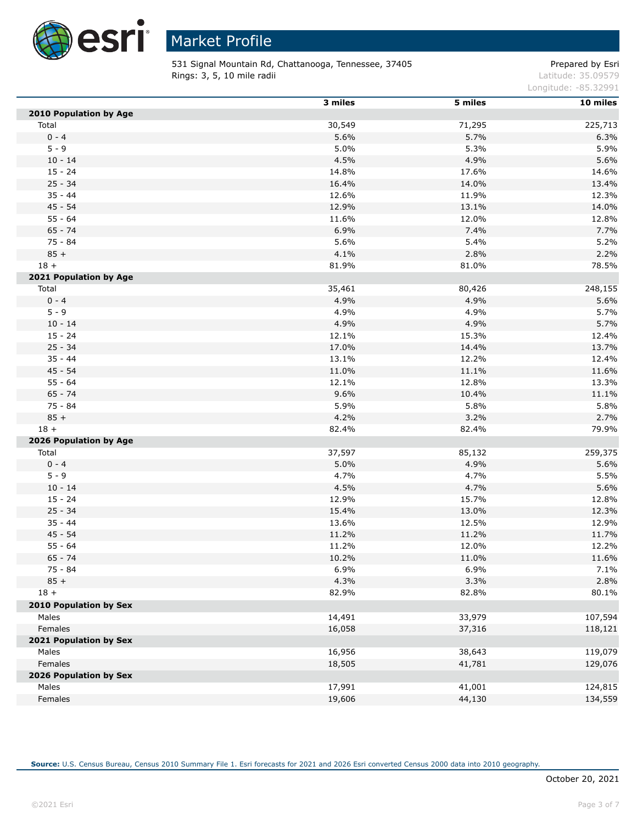

531 Signal Mountain Rd, Chattanooga, Tennessee, 37405 Prepared by Esri **Rings: 3, 5, 10 mile radii**  $\blacksquare$  **Rings: 3, 5, 10 mile radii**  $\blacksquare$ 

Longitude: -85.32991

|                               | 3 miles | 5 miles | 10 miles |
|-------------------------------|---------|---------|----------|
| <b>2010 Population by Age</b> |         |         |          |
| Total                         | 30,549  | 71,295  | 225,713  |
| $0 - 4$                       | 5.6%    | 5.7%    | 6.3%     |
| $5 - 9$                       | 5.0%    | 5.3%    | 5.9%     |
| $10 - 14$                     | 4.5%    | 4.9%    | 5.6%     |
| $15 - 24$                     | 14.8%   | 17.6%   | 14.6%    |
| $25 - 34$                     | 16.4%   | 14.0%   | 13.4%    |
| $35 - 44$                     | 12.6%   | 11.9%   | 12.3%    |
| $45 - 54$                     | 12.9%   | 13.1%   | 14.0%    |
| $55 - 64$                     | 11.6%   | 12.0%   | 12.8%    |
| $65 - 74$                     | 6.9%    | 7.4%    | 7.7%     |
| 75 - 84                       | 5.6%    | 5.4%    | 5.2%     |
| $85 +$                        | 4.1%    | 2.8%    | 2.2%     |
| $18 +$                        | 81.9%   | 81.0%   | 78.5%    |
| 2021 Population by Age        |         |         |          |
| Total                         | 35,461  | 80,426  | 248,155  |
| $0 - 4$                       | 4.9%    | 4.9%    | 5.6%     |
| $5 - 9$                       | 4.9%    | 4.9%    | 5.7%     |
| $10 - 14$                     | 4.9%    | 4.9%    | 5.7%     |
| $15 - 24$                     | 12.1%   | 15.3%   | 12.4%    |
| $25 - 34$                     | 17.0%   | 14.4%   | 13.7%    |
| $35 - 44$                     | 13.1%   | 12.2%   | 12.4%    |
| $45 - 54$                     | 11.0%   | 11.1%   | 11.6%    |
| $55 - 64$                     | 12.1%   | 12.8%   | 13.3%    |
| $65 - 74$                     | 9.6%    | 10.4%   | 11.1%    |
| $75 - 84$                     | 5.9%    | 5.8%    | 5.8%     |
| $85 +$                        | 4.2%    | 3.2%    | 2.7%     |
| $18 +$                        | 82.4%   | 82.4%   | 79.9%    |
| 2026 Population by Age        |         |         |          |
| Total                         | 37,597  | 85,132  | 259,375  |
| $0 - 4$                       | 5.0%    | 4.9%    | 5.6%     |
| $5 - 9$                       | 4.7%    | 4.7%    | 5.5%     |
| $10 - 14$                     | 4.5%    | 4.7%    | 5.6%     |
| $15 - 24$                     | 12.9%   | 15.7%   | 12.8%    |
| $25 - 34$                     | 15.4%   | 13.0%   | 12.3%    |
| $35 - 44$                     | 13.6%   | 12.5%   | 12.9%    |
| $45 - 54$                     | 11.2%   | 11.2%   | 11.7%    |
| $55 - 64$                     | 11.2%   | 12.0%   | 12.2%    |
| $65 - 74$                     | 10.2%   | 11.0%   | 11.6%    |
| 75 - 84                       | 6.9%    | 6.9%    | 7.1%     |
| $85 +$                        | 4.3%    | 3.3%    | 2.8%     |
| $18 +$                        | 82.9%   | 82.8%   | 80.1%    |
| <b>2010 Population by Sex</b> |         |         |          |
| Males                         | 14,491  | 33,979  | 107,594  |
| Females                       | 16,058  | 37,316  | 118,121  |
| 2021 Population by Sex        |         |         |          |
| Males                         | 16,956  | 38,643  | 119,079  |
| Females                       | 18,505  | 41,781  | 129,076  |
| 2026 Population by Sex        |         |         |          |
| Males                         | 17,991  | 41,001  | 124,815  |
| Females                       | 19,606  | 44,130  | 134,559  |

**Source:** U.S. Census Bureau, Census 2010 Summary File 1. Esri forecasts for 2021 and 2026 Esri converted Census 2000 data into 2010 geography.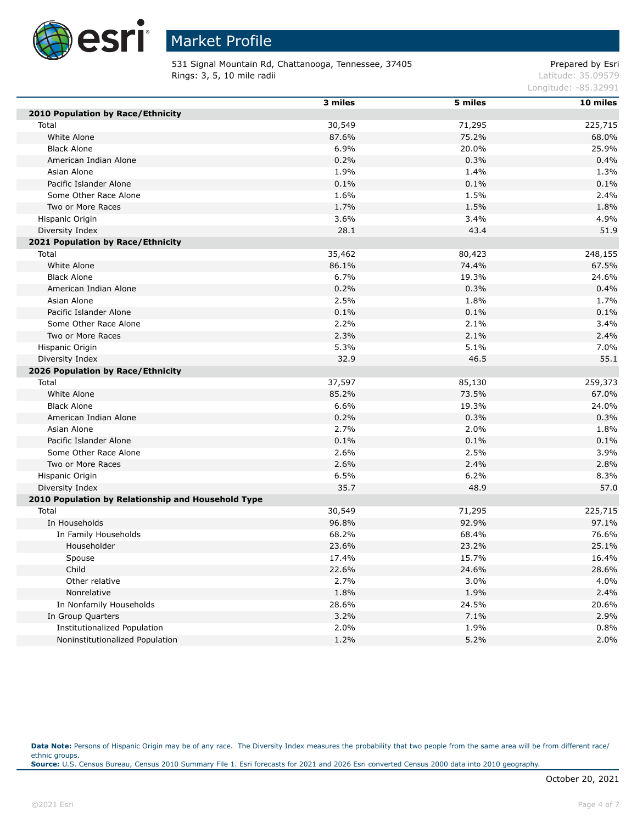

531 Signal Mountain Rd, Chattanooga, Tennessee, 37405 Prepared by Esri **Rings: 3, 5, 10 mile radii**  $\blacksquare$  **Rings: 3, 5, 10 mile radii**  $\blacksquare$ 

Longitude: -85.32991

|                                                    | 3 miles | 5 miles | $10$ miles |
|----------------------------------------------------|---------|---------|------------|
| 2010 Population by Race/Ethnicity                  |         |         |            |
| Total                                              | 30,549  | 71,295  | 225,715    |
| White Alone                                        | 87.6%   | 75.2%   | 68.0%      |
| <b>Black Alone</b>                                 | 6.9%    | 20.0%   | 25.9%      |
| American Indian Alone                              | 0.2%    | 0.3%    | 0.4%       |
| Asian Alone                                        | 1.9%    | 1.4%    | 1.3%       |
| Pacific Islander Alone                             | 0.1%    | 0.1%    | 0.1%       |
| Some Other Race Alone                              | 1.6%    | 1.5%    | 2.4%       |
| Two or More Races                                  | 1.7%    | 1.5%    | 1.8%       |
| Hispanic Origin                                    | 3.6%    | 3.4%    | 4.9%       |
| Diversity Index                                    | 28.1    | 43.4    | 51.9       |
| 2021 Population by Race/Ethnicity                  |         |         |            |
| Total                                              | 35,462  | 80,423  | 248,155    |
| White Alone                                        | 86.1%   | 74.4%   | 67.5%      |
| <b>Black Alone</b>                                 | 6.7%    | 19.3%   | 24.6%      |
| American Indian Alone                              | 0.2%    | 0.3%    | 0.4%       |
| Asian Alone                                        | 2.5%    | 1.8%    | 1.7%       |
| Pacific Islander Alone                             | 0.1%    | 0.1%    | 0.1%       |
| Some Other Race Alone                              | 2.2%    | 2.1%    | 3.4%       |
| Two or More Races                                  | 2.3%    | 2.1%    | 2.4%       |
| Hispanic Origin                                    | 5.3%    | 5.1%    | 7.0%       |
| Diversity Index                                    | 32.9    | 46.5    | 55.1       |
| 2026 Population by Race/Ethnicity                  |         |         |            |
| Total                                              | 37,597  | 85,130  | 259,373    |
| White Alone                                        | 85.2%   | 73.5%   | 67.0%      |
| <b>Black Alone</b>                                 | 6.6%    | 19.3%   | 24.0%      |
| American Indian Alone                              | 0.2%    | 0.3%    | 0.3%       |
| Asian Alone                                        | 2.7%    | 2.0%    | 1.8%       |
| Pacific Islander Alone                             | 0.1%    | 0.1%    | 0.1%       |
| Some Other Race Alone                              | 2.6%    | 2.5%    | 3.9%       |
| Two or More Races                                  | 2.6%    | 2.4%    | 2.8%       |
| Hispanic Origin                                    | 6.5%    | 6.2%    | 8.3%       |
| Diversity Index                                    | 35.7    | 48.9    | 57.0       |
| 2010 Population by Relationship and Household Type |         |         |            |
| Total                                              | 30,549  | 71,295  | 225,715    |
| In Households                                      | 96.8%   | 92.9%   | 97.1%      |
| In Family Households                               | 68.2%   | 68.4%   | 76.6%      |
| Householder                                        | 23.6%   | 23.2%   | 25.1%      |
| Spouse                                             | 17.4%   | 15.7%   | 16.4%      |
| Child                                              | 22.6%   | 24.6%   | 28.6%      |
| Other relative                                     | 2.7%    | 3.0%    | 4.0%       |
| Nonrelative                                        | 1.8%    | 1.9%    | 2.4%       |
| In Nonfamily Households                            | 28.6%   | 24.5%   | 20.6%      |
| In Group Quarters                                  | 3.2%    | 7.1%    | 2.9%       |
| Institutionalized Population                       | 2.0%    | 1.9%    | 0.8%       |
| Noninstitutionalized Population                    | 1.2%    | 5.2%    | 2.0%       |

Data Note: Persons of Hispanic Origin may be of any race. The Diversity Index measures the probability that two people from the same area will be from different race/ ethnic groups. **Source:** U.S. Census Bureau, Census 2010 Summary File 1. Esri forecasts for 2021 and 2026 Esri converted Census 2000 data into 2010 geography.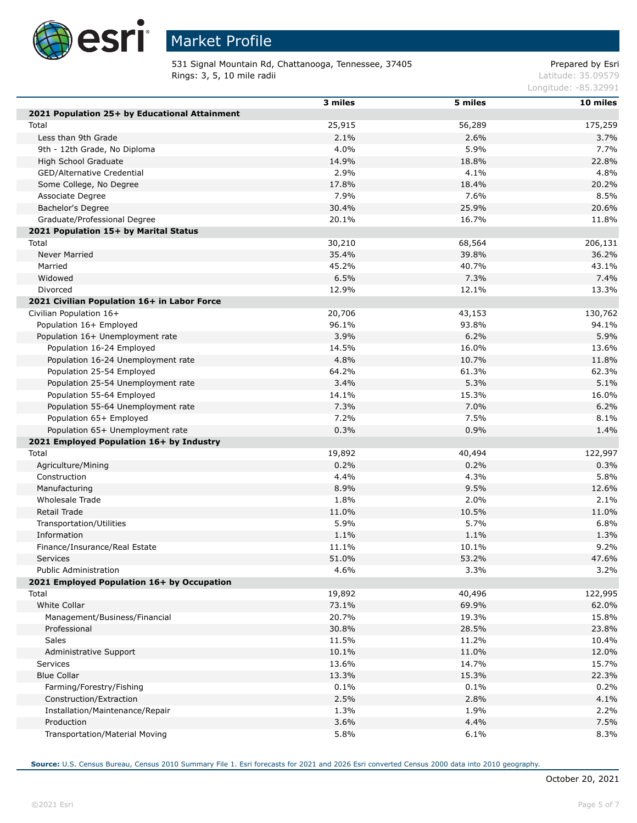

Г

# Market Profile

531 Signal Mountain Rd, Chattanooga, Tennessee, 37405 Prepared by Esri **Rings: 3, 5, 10 mile radii**  $\blacksquare$  **Rings: 3, 5, 10 mile radii**  $\blacksquare$ 

Longitude: -85.32991

|                                               | 3 miles | 5 miles | 10 miles |
|-----------------------------------------------|---------|---------|----------|
| 2021 Population 25+ by Educational Attainment |         |         |          |
| Total                                         | 25,915  | 56,289  | 175,259  |
| Less than 9th Grade                           | 2.1%    | 2.6%    | 3.7%     |
| 9th - 12th Grade, No Diploma                  | 4.0%    | 5.9%    | 7.7%     |
| High School Graduate                          | 14.9%   | 18.8%   | 22.8%    |
| GED/Alternative Credential                    | 2.9%    | 4.1%    | 4.8%     |
| Some College, No Degree                       | 17.8%   | 18.4%   | 20.2%    |
| Associate Degree                              | 7.9%    | 7.6%    | 8.5%     |
| Bachelor's Degree                             | 30.4%   | 25.9%   | 20.6%    |
| Graduate/Professional Degree                  | 20.1%   | 16.7%   | 11.8%    |
| 2021 Population 15+ by Marital Status         |         |         |          |
| Total                                         | 30,210  | 68,564  | 206,131  |
| <b>Never Married</b>                          | 35.4%   | 39.8%   | 36.2%    |
| Married                                       | 45.2%   | 40.7%   | 43.1%    |
| Widowed                                       | 6.5%    | 7.3%    | 7.4%     |
| Divorced                                      | 12.9%   | 12.1%   | 13.3%    |
| 2021 Civilian Population 16+ in Labor Force   |         |         |          |
| Civilian Population 16+                       | 20,706  | 43,153  | 130,762  |
| Population 16+ Employed                       | 96.1%   | 93.8%   | 94.1%    |
| Population 16+ Unemployment rate              | 3.9%    | 6.2%    | 5.9%     |
| Population 16-24 Employed                     | 14.5%   | 16.0%   | 13.6%    |
| Population 16-24 Unemployment rate            | 4.8%    | 10.7%   | 11.8%    |
| Population 25-54 Employed                     | 64.2%   | 61.3%   | 62.3%    |
| Population 25-54 Unemployment rate            | 3.4%    | 5.3%    | 5.1%     |
| Population 55-64 Employed                     | 14.1%   | 15.3%   | 16.0%    |
| Population 55-64 Unemployment rate            | 7.3%    | 7.0%    | 6.2%     |
| Population 65+ Employed                       | 7.2%    | 7.5%    | 8.1%     |
| Population 65+ Unemployment rate              | 0.3%    | 0.9%    | 1.4%     |
| 2021 Employed Population 16+ by Industry      |         |         |          |
| Total                                         | 19,892  | 40,494  | 122,997  |
| Agriculture/Mining                            | 0.2%    | 0.2%    | 0.3%     |
| Construction                                  | 4.4%    | 4.3%    | 5.8%     |
| Manufacturing                                 | 8.9%    | 9.5%    | 12.6%    |
| <b>Wholesale Trade</b>                        | 1.8%    | 2.0%    | 2.1%     |
| Retail Trade                                  | 11.0%   | 10.5%   | 11.0%    |
| Transportation/Utilities                      | 5.9%    | 5.7%    | 6.8%     |
| Information                                   | 1.1%    | 1.1%    | 1.3%     |
| Finance/Insurance/Real Estate                 | 11.1%   | 10.1%   | 9.2%     |
| Services                                      | 51.0%   | 53.2%   | 47.6%    |
| <b>Public Administration</b>                  | 4.6%    | 3.3%    | 3.2%     |
| 2021 Employed Population 16+ by Occupation    |         |         |          |
| Total                                         | 19,892  | 40,496  | 122,995  |
| White Collar                                  | 73.1%   | 69.9%   | 62.0%    |
| Management/Business/Financial                 | 20.7%   | 19.3%   | 15.8%    |
| Professional                                  | 30.8%   | 28.5%   | 23.8%    |
| Sales                                         | 11.5%   | 11.2%   | 10.4%    |
| Administrative Support                        | 10.1%   | 11.0%   | 12.0%    |
| Services                                      | 13.6%   | 14.7%   | 15.7%    |
| <b>Blue Collar</b>                            | 13.3%   | 15.3%   | 22.3%    |
| Farming/Forestry/Fishing                      | 0.1%    | 0.1%    | 0.2%     |
| Construction/Extraction                       | 2.5%    | 2.8%    | 4.1%     |
| Installation/Maintenance/Repair               | 1.3%    | 1.9%    | 2.2%     |
| Production                                    | 3.6%    | 4.4%    | 7.5%     |
| Transportation/Material Moving                | 5.8%    | 6.1%    | 8.3%     |
|                                               |         |         |          |

**Source:** U.S. Census Bureau, Census 2010 Summary File 1. Esri forecasts for 2021 and 2026 Esri converted Census 2000 data into 2010 geography.

Г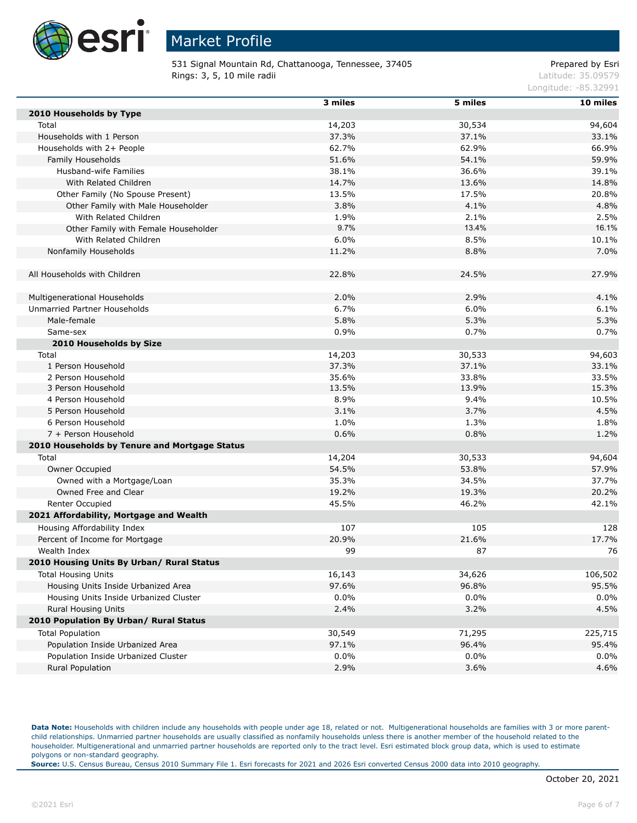

531 Signal Mountain Rd, Chattanooga, Tennessee, 37405 Prepared by Esri **Rings: 3, 5, 10 mile radii**  $\blacksquare$  **Rings: 3, 5, 10 mile radii**  $\blacksquare$ 

Longitude: -85.32991

|                                               | 3 miles | 5 miles | 10 miles |
|-----------------------------------------------|---------|---------|----------|
| 2010 Households by Type                       |         |         |          |
| Total                                         | 14,203  | 30,534  | 94,604   |
| Households with 1 Person                      | 37.3%   | 37.1%   | 33.1%    |
| Households with 2+ People                     | 62.7%   | 62.9%   | 66.9%    |
| Family Households                             | 51.6%   | 54.1%   | 59.9%    |
| Husband-wife Families                         | 38.1%   | 36.6%   | 39.1%    |
| With Related Children                         | 14.7%   | 13.6%   | 14.8%    |
| Other Family (No Spouse Present)              | 13.5%   | 17.5%   | 20.8%    |
| Other Family with Male Householder            | 3.8%    | 4.1%    | 4.8%     |
| With Related Children                         | 1.9%    | 2.1%    | 2.5%     |
| Other Family with Female Householder          | 9.7%    | 13.4%   | 16.1%    |
| With Related Children                         | 6.0%    | 8.5%    | 10.1%    |
| Nonfamily Households                          | 11.2%   | 8.8%    | 7.0%     |
|                                               |         |         |          |
| All Households with Children                  | 22.8%   | 24.5%   | 27.9%    |
|                                               |         |         |          |
| Multigenerational Households                  | 2.0%    | 2.9%    | 4.1%     |
| Unmarried Partner Households                  | 6.7%    | 6.0%    | 6.1%     |
| Male-female                                   | 5.8%    | 5.3%    | 5.3%     |
| Same-sex                                      | 0.9%    | 0.7%    | 0.7%     |
| 2010 Households by Size                       |         |         |          |
| Total                                         | 14,203  | 30,533  | 94,603   |
| 1 Person Household                            | 37.3%   | 37.1%   | 33.1%    |
| 2 Person Household                            | 35.6%   | 33.8%   | 33.5%    |
| 3 Person Household                            | 13.5%   | 13.9%   | 15.3%    |
| 4 Person Household                            | 8.9%    | 9.4%    | 10.5%    |
| 5 Person Household                            | 3.1%    | 3.7%    | 4.5%     |
| 6 Person Household                            | 1.0%    | 1.3%    | 1.8%     |
| 7 + Person Household                          | 0.6%    | 0.8%    | 1.2%     |
| 2010 Households by Tenure and Mortgage Status |         |         |          |
| Total                                         | 14,204  | 30,533  | 94,604   |
| Owner Occupied                                | 54.5%   | 53.8%   | 57.9%    |
| Owned with a Mortgage/Loan                    | 35.3%   | 34.5%   | 37.7%    |
| Owned Free and Clear                          | 19.2%   | 19.3%   | 20.2%    |
| Renter Occupied                               | 45.5%   | 46.2%   | 42.1%    |
| 2021 Affordability, Mortgage and Wealth       |         |         |          |
| Housing Affordability Index                   | 107     | 105     | 128      |
| Percent of Income for Mortgage                | 20.9%   | 21.6%   | 17.7%    |
| Wealth Index                                  | 99      | 87      | 76       |
| 2010 Housing Units By Urban/ Rural Status     |         |         |          |
| <b>Total Housing Units</b>                    | 16,143  | 34,626  | 106,502  |
| Housing Units Inside Urbanized Area           | 97.6%   | 96.8%   | 95.5%    |
| Housing Units Inside Urbanized Cluster        | $0.0\%$ | $0.0\%$ | 0.0%     |
| <b>Rural Housing Units</b>                    | 2.4%    | 3.2%    | 4.5%     |
| 2010 Population By Urban/ Rural Status        |         |         |          |
| <b>Total Population</b>                       | 30,549  | 71,295  | 225,715  |
| Population Inside Urbanized Area              | 97.1%   | 96.4%   | 95.4%    |
| Population Inside Urbanized Cluster           | $0.0\%$ | 0.0%    | 0.0%     |
| Rural Population                              | 2.9%    | 3.6%    | 4.6%     |
|                                               |         |         |          |

Data Note: Households with children include any households with people under age 18, related or not. Multigenerational households are families with 3 or more parentchild relationships. Unmarried partner households are usually classified as nonfamily households unless there is another member of the household related to the householder. Multigenerational and unmarried partner households are reported only to the tract level. Esri estimated block group data, which is used to estimate polygons or non-standard geography.

**Source:** U.S. Census Bureau, Census 2010 Summary File 1. Esri forecasts for 2021 and 2026 Esri converted Census 2000 data into 2010 geography.